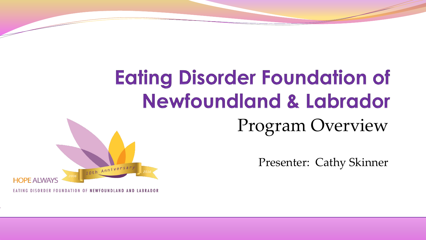# **Eating Disorder Foundation of Newfoundland & Labrador**

Program Overview

Presenter: Cathy Skinner



EATING DISORDER FOUNDATION OF NEWFOUNDLAND AND LABRADOR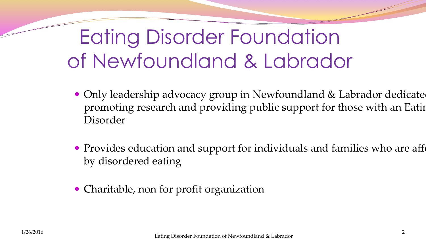# Eating Disorder Foundation of Newfoundland & Labrador

- Only leadership advocacy group in Newfoundland & Labrador dedicated promoting research and providing public support for those with an Eating Disorder
- Provides education and support for individuals and families who are affection by disordered eating
- Charitable, non for profit organization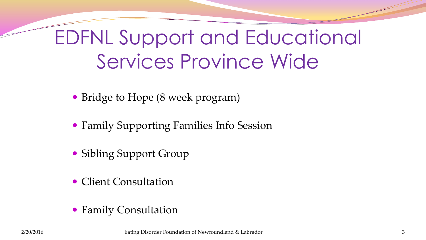# EDFNL Support and Educational Services Province Wide

- Bridge to Hope (8 week program)
- Family Supporting Families Info Session
- Sibling Support Group
- Client Consultation
- Family Consultation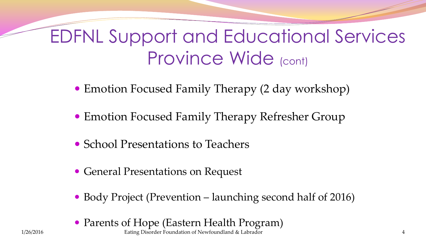#### EDFNL Support and Educational Services Province Wide (cont)

- Emotion Focused Family Therapy (2 day workshop)
- Emotion Focused Family Therapy Refresher Group
- School Presentations to Teachers
- General Presentations on Request
- Body Project (Prevention launching second half of 2016)
- 1/26/2016 Eating Disorder Foundation of Newfoundland & Labrador 4 • Parents of Hope (Eastern Health Program)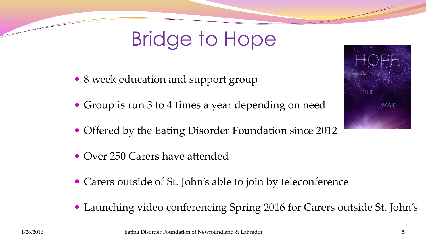# Bridge to Hope

- 8 week education and support group
- Group is run 3 to 4 times a year depending on need
- Offered by the Eating Disorder Foundation since 2012
- Over 250 Carers have attended
- Carers outside of St. John's able to join by teleconference
- Launching video conferencing Spring 2016 for Carers outside St. John's



1/26/2016 Eating Disorder Foundation of Newfoundland & Labrador 5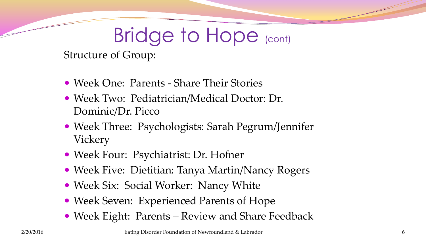# Bridge to Hope (cont)

Structure of Group:

- Week One: Parents Share Their Stories
- Week Two: Pediatrician/Medical Doctor: Dr. Dominic/Dr. Picco
- Week Three: Psychologists: Sarah Pegrum/Jennifer Vickery
- Week Four: Psychiatrist: Dr. Hofner
- Week Five: Dietitian: Tanya Martin/Nancy Rogers
- Week Six: Social Worker: Nancy White
- Week Seven: Experienced Parents of Hope
- Week Eight: Parents Review and Share Feedback

2/20/2016 Eating Disorder Foundation of Newfoundland & Labrador 6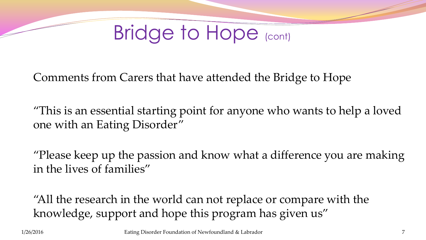

Comments from Carers that have attended the Bridge to Hope

"This is an essential starting point for anyone who wants to help a loved one with an Eating Disorder"

"Please keep up the passion and know what a difference you are making in the lives of families"

"All the research in the world can not replace or compare with the knowledge, support and hope this program has given us"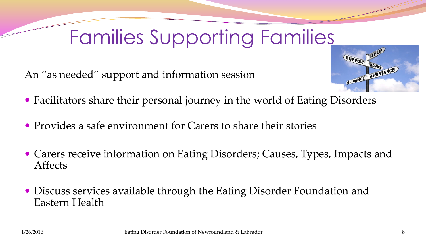# Families Supporting Families

An "as needed" support and information session



- Facilitators share their personal journey in the world of Eating Disorders
- Provides a safe environment for Carers to share their stories
- Carers receive information on Eating Disorders; Causes, Types, Impacts and Affects
- Discuss services available through the Eating Disorder Foundation and Eastern Health